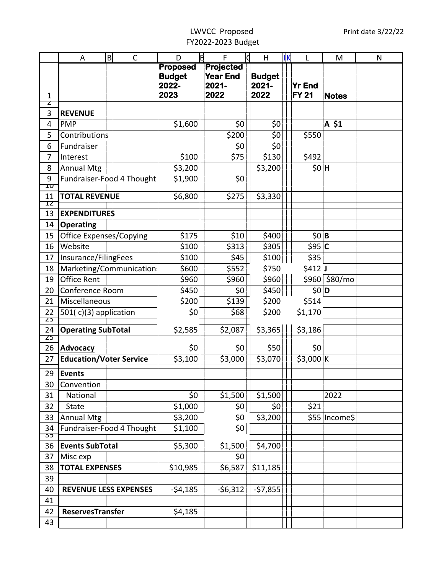## LWVCC Proposed FY2022-2023 Budget

|                              | A                                 | $\overline{B}$<br>$\mathsf{C}$ | D                                                 | 1EI<br>F<br>ld                                       | H                              | llК<br>L                      | M             | $\mathsf{N}$ |
|------------------------------|-----------------------------------|--------------------------------|---------------------------------------------------|------------------------------------------------------|--------------------------------|-------------------------------|---------------|--------------|
| 1                            |                                   |                                | <b>Proposed</b><br><b>Budget</b><br>2022-<br>2023 | <b>Projected</b><br><b>Year End</b><br>2021-<br>2022 | <b>Budget</b><br>2021-<br>2022 | <b>Yr End</b><br><b>FY 21</b> | <b>Notes</b>  |              |
| z                            |                                   |                                |                                                   |                                                      |                                |                               |               |              |
| 3                            | <b>REVENUE</b>                    |                                |                                                   |                                                      |                                |                               |               |              |
| 4                            | <b>PMP</b>                        |                                | \$1,600                                           | \$0                                                  | \$0                            |                               | A \$1         |              |
| 5                            | Contributions                     |                                |                                                   | \$200                                                | \$0                            | \$550                         |               |              |
| 6                            | Fundraiser                        |                                |                                                   | \$0                                                  | \$0                            |                               |               |              |
| 7                            | Interest                          |                                | \$100                                             | \$75                                                 | \$130                          | \$492                         |               |              |
| 8                            | <b>Annual Mtg</b>                 |                                | \$3,200                                           |                                                      | \$3,200                        |                               | \$0 H         |              |
| 9<br>$\overline{\mathtt{v}}$ |                                   | Fundraiser-Food 4 Thought      | \$1,900                                           | \$0                                                  |                                |                               |               |              |
| 11                           | <b>TOTAL REVENUE</b>              |                                | \$6,800                                           | \$275                                                | \$3,330                        |                               |               |              |
| ΙZ                           |                                   |                                |                                                   |                                                      |                                |                               |               |              |
| 13                           | <b>EXPENDITURES</b>               |                                |                                                   |                                                      |                                |                               |               |              |
| 14                           | <b>Operating</b>                  |                                |                                                   |                                                      |                                |                               |               |              |
| 15                           | Office Expenses/Copying           |                                | \$175                                             | \$10                                                 | \$400                          |                               | \$0 B         |              |
| 16                           | Website                           |                                | \$100                                             | \$313                                                | \$305                          | \$95 C                        |               |              |
| 17                           | Insurance/FilingFees              |                                | \$100                                             | \$45                                                 | \$100                          | \$35                          |               |              |
| 18                           |                                   | Marketing/Communication        | \$600                                             | \$552                                                | \$750                          | \$412 J                       |               |              |
| 19                           | <b>Office Rent</b>                |                                | \$960                                             | \$960                                                | \$960                          | \$960                         | \$80/mo       |              |
| 20                           | Conference Room                   |                                | \$450                                             | \$0                                                  | \$450                          |                               | \$0 D         |              |
| 21                           | Miscellaneous                     |                                | \$200                                             | \$139                                                | \$200                          | \$514                         |               |              |
| 22                           | $501(c)(3)$ application           |                                | \$0                                               | \$68                                                 | \$200                          | \$1,170                       |               |              |
| Z3<br>24                     | <b>Operating SubTotal</b>         |                                | \$2,585                                           | \$2,087                                              | \$3,365                        | \$3,186                       |               |              |
| 25                           |                                   |                                |                                                   |                                                      |                                |                               |               |              |
| 26                           | Advocacy                          |                                | \$0                                               | \$0                                                  | \$50                           | \$0                           |               |              |
| 27                           | <b>Education/Voter Service</b>    |                                | \$3,100                                           | \$3,000                                              | \$3,070                        | $$3,000$ K                    |               |              |
| 29                           | Events                            |                                |                                                   |                                                      |                                |                               |               |              |
| 30                           | Convention                        |                                |                                                   |                                                      |                                |                               |               |              |
| 31                           | National                          |                                | \$0                                               | \$1,500                                              | \$1,500                        |                               | 2022          |              |
| 32                           | <b>State</b>                      |                                | \$1,000                                           | \$0                                                  | \$0                            | \$21                          |               |              |
| 33                           | <b>Annual Mtg</b>                 |                                | \$3,200                                           | \$0                                                  | \$3,200                        |                               | \$55 Income\$ |              |
| 34                           |                                   | Fundraiser-Food 4 Thought      | \$1,100                                           | 50                                                   |                                |                               |               |              |
| 35                           |                                   |                                |                                                   |                                                      |                                |                               |               |              |
| 36                           | <b>Events SubTotal</b>            |                                | \$5,300                                           | \$1,500                                              | \$4,700                        |                               |               |              |
| 37<br>38                     | Misc exp<br><b>TOTAL EXPENSES</b> |                                | \$10,985                                          | \$0<br>\$6,587                                       | \$11,185                       |                               |               |              |
| 39                           |                                   |                                |                                                   |                                                      |                                |                               |               |              |
| 40                           |                                   | <b>REVENUE LESS EXPENSES</b>   | $-54,185$                                         | $-56,312$                                            | $-57,855$                      |                               |               |              |
| 41                           |                                   |                                |                                                   |                                                      |                                |                               |               |              |
| 42                           | ReservesTransfer                  |                                | \$4,185                                           |                                                      |                                |                               |               |              |
| 43                           |                                   |                                |                                                   |                                                      |                                |                               |               |              |
|                              |                                   |                                |                                                   |                                                      |                                |                               |               |              |